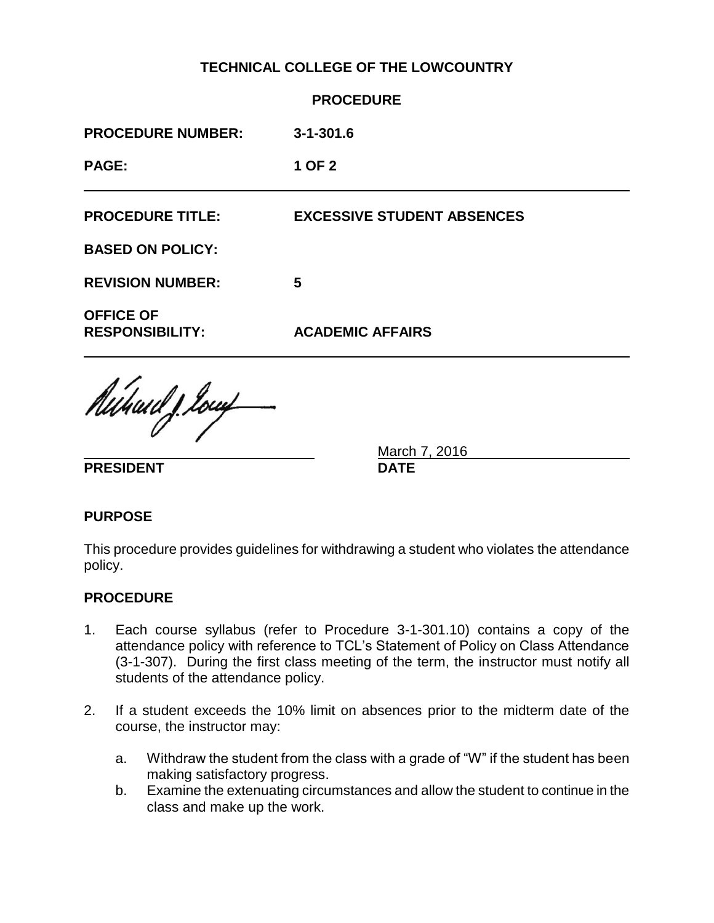# **TECHNICAL COLLEGE OF THE LOWCOUNTRY**

|                                            | <b>PROCEDURE</b>                  |
|--------------------------------------------|-----------------------------------|
| <b>PROCEDURE NUMBER:</b>                   | $3 - 1 - 301.6$                   |
| <b>PAGE:</b>                               | 1 OF 2                            |
| <b>PROCEDURE TITLE:</b>                    | <b>EXCESSIVE STUDENT ABSENCES</b> |
| <b>BASED ON POLICY:</b>                    |                                   |
| <b>REVISION NUMBER:</b>                    | 5                                 |
| <b>OFFICE OF</b><br><b>RESPONSIBILITY:</b> | <b>ACADEMIC AFFAIRS</b>           |
| Auhaid J. Ionf                             |                                   |

**PRESIDENT DATE**

March 7, 2016

### **PURPOSE**

This procedure provides guidelines for withdrawing a student who violates the attendance policy.

### **PROCEDURE**

- 1. Each course syllabus (refer to Procedure 3-1-301.10) contains a copy of the attendance policy with reference to TCL's Statement of Policy on Class Attendance (3-1-307). During the first class meeting of the term, the instructor must notify all students of the attendance policy.
- 2. If a student exceeds the 10% limit on absences prior to the midterm date of the course, the instructor may:
	- a. Withdraw the student from the class with a grade of "W" if the student has been making satisfactory progress.
	- b. Examine the extenuating circumstances and allow the student to continue in the class and make up the work.